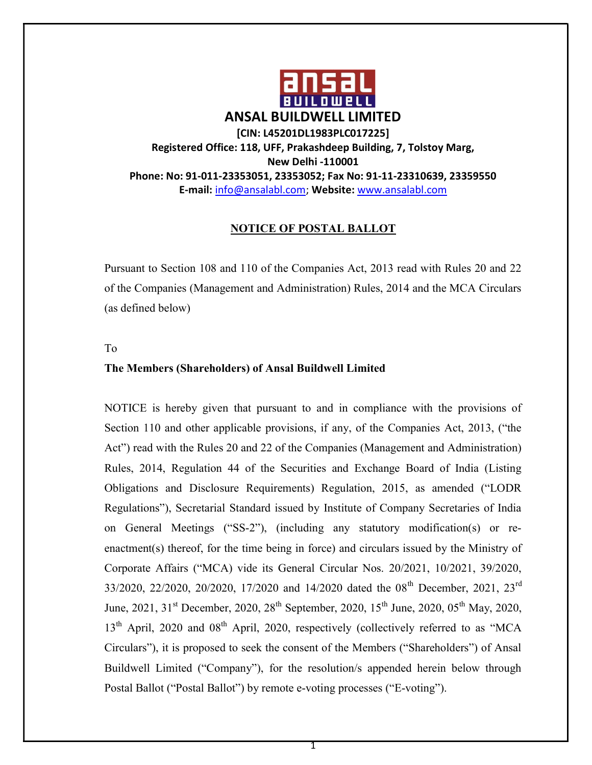

### NOTICE OF POSTAL BALLOT

Pursuant to Section 108 and 110 of the Companies Act, 2013 read with Rules 20 and 22 of the Companies (Management and Administration) Rules, 2014 and the MCA Circulars (as defined below)

To

### The Members (Shareholders) of Ansal Buildwell Limited

NOTICE is hereby given that pursuant to and in compliance with the provisions of Section 110 and other applicable provisions, if any, of the Companies Act, 2013, ("the Act") read with the Rules 20 and 22 of the Companies (Management and Administration) Rules, 2014, Regulation 44 of the Securities and Exchange Board of India (Listing Obligations and Disclosure Requirements) Regulation, 2015, as amended ("LODR Regulations"), Secretarial Standard issued by Institute of Company Secretaries of India on General Meetings ("SS-2"), (including any statutory modification(s) or reenactment(s) thereof, for the time being in force) and circulars issued by the Ministry of Corporate Affairs ("MCA) vide its General Circular Nos. 20/2021, 10/2021, 39/2020, 33/2020, 22/2020, 20/2020, 17/2020 and 14/2020 dated the 08<sup>th</sup> December, 2021, 23<sup>rd</sup> June, 2021, 31<sup>st</sup> December, 2020, 28<sup>th</sup> September, 2020, 15<sup>th</sup> June, 2020, 05<sup>th</sup> May, 2020,  $13<sup>th</sup>$  April, 2020 and 08<sup>th</sup> April, 2020, respectively (collectively referred to as "MCA Circulars"), it is proposed to seek the consent of the Members ("Shareholders") of Ansal Buildwell Limited ("Company"), for the resolution/s appended herein below through Postal Ballot ("Postal Ballot") by remote e-voting processes ("E-voting").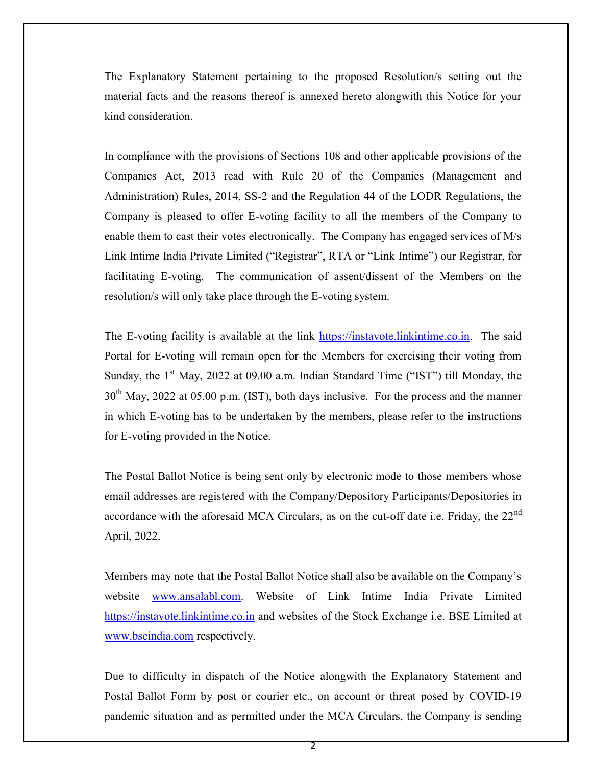The Explanatory Statement pertaining to the proposed Resolution/s setting out the material facts and the reasons thereof is annexed hereto alongwith this Notice for your kind consideration.

In compliance with the provisions of Sections 108 and other applicable provisions of the Companies Act, 2013 read with Rule 20 of the Companies (Management and Administration) Rules, 2014, SS-2 and the Regulation 44 of the LODR Regulations, the Company is pleased to offer E-voting facility to all the members of the Company to enable them to cast their votes electronically. The Company has engaged services of M/s Link Intime India Private Limited ("Registrar", RTA or "Link Intime") our Registrar, for facilitating E-voting. The communication of assent/dissent of the Members on the resolution/s will only take place through the E-voting system.

The E-voting facility is available at the link https://instavote.linkintime.co.in. The said Portal for E-voting will remain open for the Members for exercising their voting from Sunday, the  $1<sup>st</sup>$  May, 2022 at 09.00 a.m. Indian Standard Time ("IST") till Monday, the  $30<sup>th</sup>$  May, 2022 at 05.00 p.m. (IST), both days inclusive. For the process and the manner in which E-voting has to be undertaken by the members, please refer to the instructions for E-voting provided in the Notice.

The Postal Ballot Notice is being sent only by electronic mode to those members whose email addresses are registered with the Company/Depository Participants/Depositories in accordance with the aforesaid MCA Circulars, as on the cut-off date i.e. Friday, the  $22<sup>nd</sup>$ April, 2022.

Members may note that the Postal Ballot Notice shall also be available on the Company's website www.ansalabl.com. Website of Link Intime India Private Limited https://instavote.linkintime.co.in and websites of the Stock Exchange i.e. BSE Limited at www.bseindia.com respectively.

Due to difficulty in dispatch of the Notice alongwith the Explanatory Statement and Postal Ballot Form by post or courier etc., on account or threat posed by COVID-19 pandemic situation and as permitted under the MCA Circulars, the Company is sending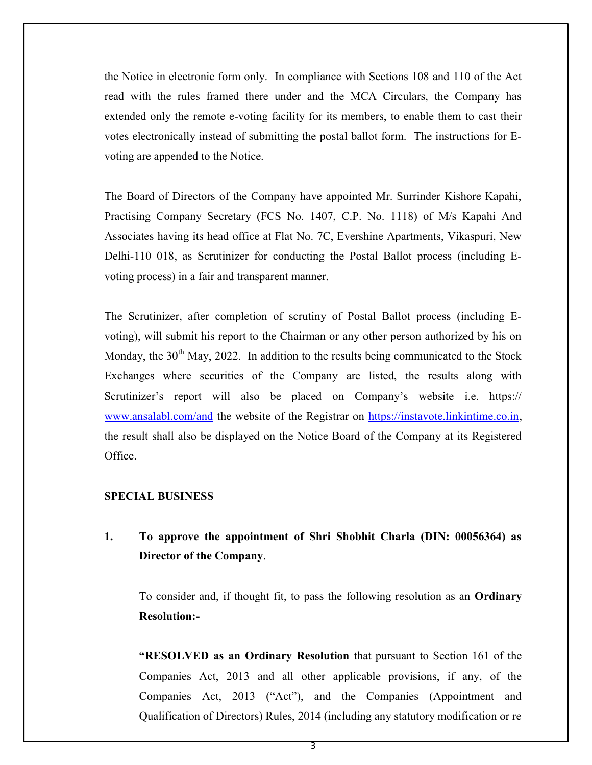the Notice in electronic form only. In compliance with Sections 108 and 110 of the Act read with the rules framed there under and the MCA Circulars, the Company has extended only the remote e-voting facility for its members, to enable them to cast their votes electronically instead of submitting the postal ballot form. The instructions for Evoting are appended to the Notice.

The Board of Directors of the Company have appointed Mr. Surrinder Kishore Kapahi, Practising Company Secretary (FCS No. 1407, C.P. No. 1118) of M/s Kapahi And Associates having its head office at Flat No. 7C, Evershine Apartments, Vikaspuri, New Delhi-110 018, as Scrutinizer for conducting the Postal Ballot process (including Evoting process) in a fair and transparent manner.

The Scrutinizer, after completion of scrutiny of Postal Ballot process (including Evoting), will submit his report to the Chairman or any other person authorized by his on Monday, the  $30<sup>th</sup>$  May, 2022. In addition to the results being communicated to the Stock Exchanges where securities of the Company are listed, the results along with Scrutinizer's report will also be placed on Company's website i.e. https:// www.ansalabl.com/and the website of the Registrar on https://instavote.linkintime.co.in, the result shall also be displayed on the Notice Board of the Company at its Registered Office.

### SPECIAL BUSINESS

1. To approve the appointment of Shri Shobhit Charla (DIN: 00056364) as Director of the Company.

To consider and, if thought fit, to pass the following resolution as an Ordinary Resolution:-

"RESOLVED as an Ordinary Resolution that pursuant to Section 161 of the Companies Act, 2013 and all other applicable provisions, if any, of the Companies Act, 2013 ("Act"), and the Companies (Appointment and Qualification of Directors) Rules, 2014 (including any statutory modification or re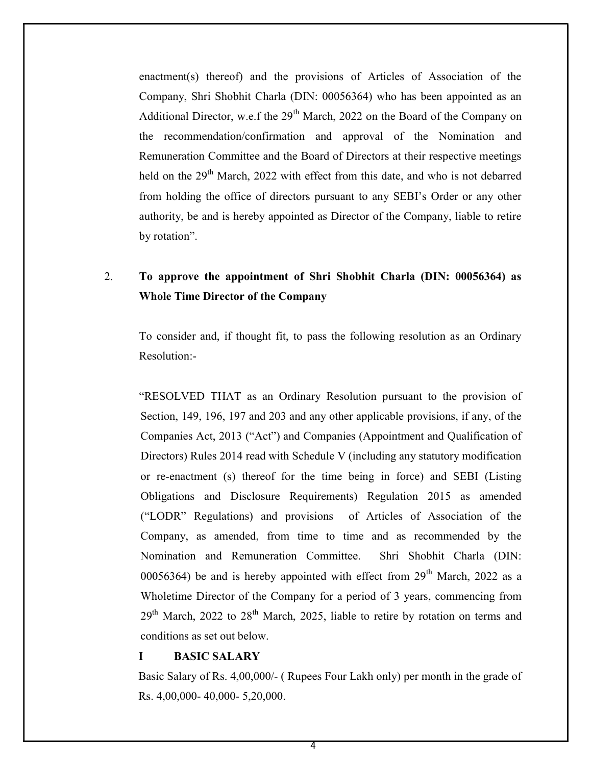enactment(s) thereof) and the provisions of Articles of Association of the Company, Shri Shobhit Charla (DIN: 00056364) who has been appointed as an Additional Director, w.e.f the  $29<sup>th</sup>$  March, 2022 on the Board of the Company on the recommendation/confirmation and approval of the Nomination and Remuneration Committee and the Board of Directors at their respective meetings held on the 29<sup>th</sup> March, 2022 with effect from this date, and who is not debarred from holding the office of directors pursuant to any SEBI's Order or any other authority, be and is hereby appointed as Director of the Company, liable to retire by rotation".

## 2. To approve the appointment of Shri Shobhit Charla (DIN: 00056364) as Whole Time Director of the Company

To consider and, if thought fit, to pass the following resolution as an Ordinary Resolution:-

"RESOLVED THAT as an Ordinary Resolution pursuant to the provision of Section, 149, 196, 197 and 203 and any other applicable provisions, if any, of the Companies Act, 2013 ("Act") and Companies (Appointment and Qualification of Directors) Rules 2014 read with Schedule V (including any statutory modification or re-enactment (s) thereof for the time being in force) and SEBI (Listing Obligations and Disclosure Requirements) Regulation 2015 as amended ("LODR" Regulations) and provisions of Articles of Association of the Company, as amended, from time to time and as recommended by the Nomination and Remuneration Committee. Shri Shobhit Charla (DIN: 00056364) be and is hereby appointed with effect from  $29<sup>th</sup>$  March, 2022 as a Wholetime Director of the Company for a period of 3 years, commencing from  $29<sup>th</sup> March, 2022$  to  $28<sup>th</sup> March, 2025$ , liable to retire by rotation on terms and conditions as set out below.

#### I BASIC SALARY

Basic Salary of Rs. 4,00,000/- ( Rupees Four Lakh only) per month in the grade of Rs. 4,00,000- 40,000- 5,20,000.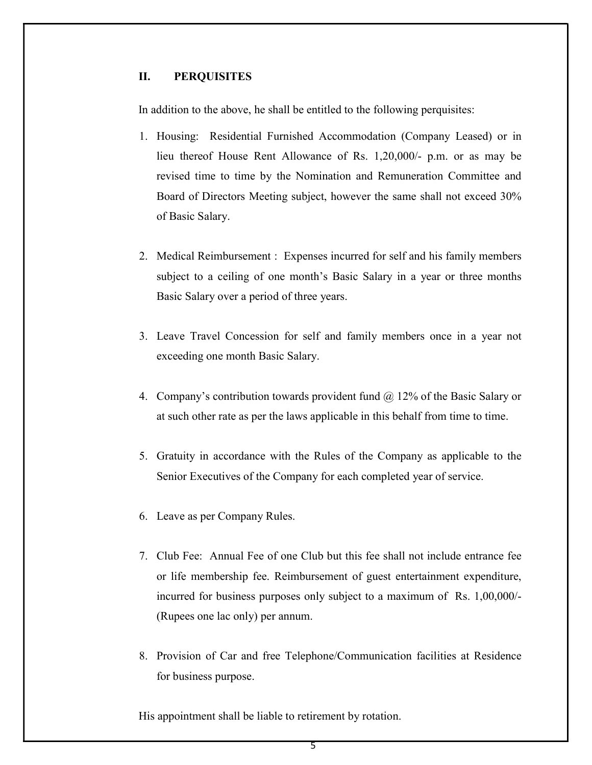### II. PERQUISITES

In addition to the above, he shall be entitled to the following perquisites:

- 1. Housing: Residential Furnished Accommodation (Company Leased) or in lieu thereof House Rent Allowance of Rs. 1,20,000/- p.m. or as may be revised time to time by the Nomination and Remuneration Committee and Board of Directors Meeting subject, however the same shall not exceed 30% of Basic Salary.
- 2. Medical Reimbursement : Expenses incurred for self and his family members subject to a ceiling of one month's Basic Salary in a year or three months Basic Salary over a period of three years.
- 3. Leave Travel Concession for self and family members once in a year not exceeding one month Basic Salary.
- 4. Company's contribution towards provident fund @ 12% of the Basic Salary or at such other rate as per the laws applicable in this behalf from time to time.
- 5. Gratuity in accordance with the Rules of the Company as applicable to the Senior Executives of the Company for each completed year of service.
- 6. Leave as per Company Rules.
- 7. Club Fee: Annual Fee of one Club but this fee shall not include entrance fee or life membership fee. Reimbursement of guest entertainment expenditure, incurred for business purposes only subject to a maximum of Rs. 1,00,000/- (Rupees one lac only) per annum.
- 8. Provision of Car and free Telephone/Communication facilities at Residence for business purpose.

His appointment shall be liable to retirement by rotation.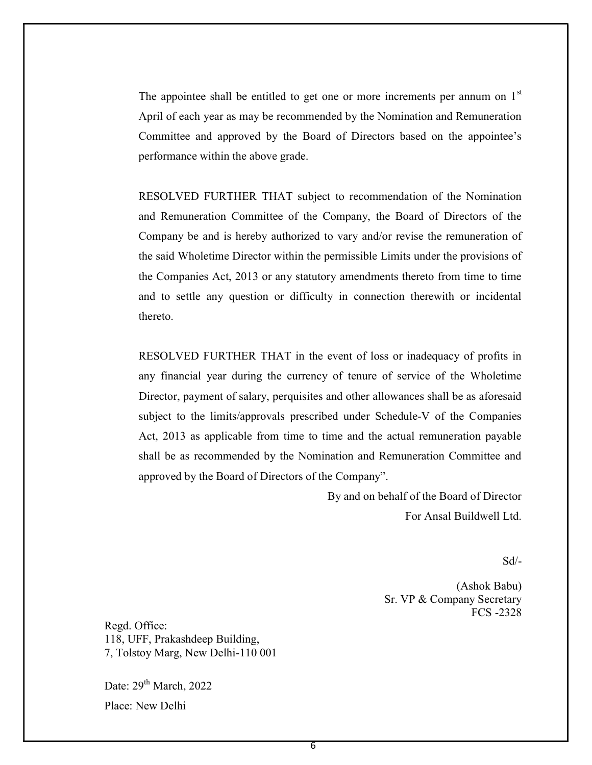The appointee shall be entitled to get one or more increments per annum on  $1<sup>st</sup>$ April of each year as may be recommended by the Nomination and Remuneration Committee and approved by the Board of Directors based on the appointee's performance within the above grade.

RESOLVED FURTHER THAT subject to recommendation of the Nomination and Remuneration Committee of the Company, the Board of Directors of the Company be and is hereby authorized to vary and/or revise the remuneration of the said Wholetime Director within the permissible Limits under the provisions of the Companies Act, 2013 or any statutory amendments thereto from time to time and to settle any question or difficulty in connection therewith or incidental thereto.

RESOLVED FURTHER THAT in the event of loss or inadequacy of profits in any financial year during the currency of tenure of service of the Wholetime Director, payment of salary, perquisites and other allowances shall be as aforesaid subject to the limits/approvals prescribed under Schedule-V of the Companies Act, 2013 as applicable from time to time and the actual remuneration payable shall be as recommended by the Nomination and Remuneration Committee and approved by the Board of Directors of the Company".

> By and on behalf of the Board of Director For Ansal Buildwell Ltd.

> > $Sd$ <sup>-</sup>

 (Ashok Babu) Sr. VP & Company Secretary FCS -2328

Regd. Office: 118, UFF, Prakashdeep Building, 7, Tolstoy Marg, New Delhi-110 001

Date:  $29<sup>th</sup>$  March, 2022 Place: New Delhi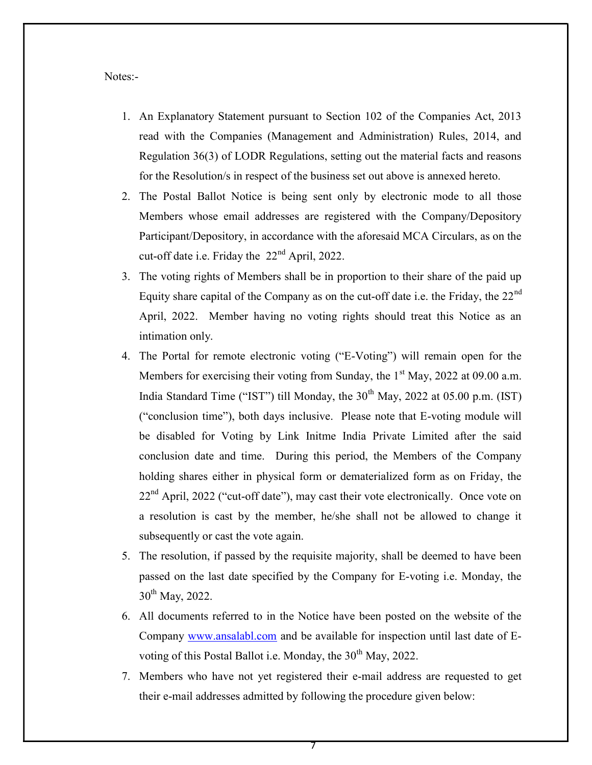Notes:-

- 1. An Explanatory Statement pursuant to Section 102 of the Companies Act, 2013 read with the Companies (Management and Administration) Rules, 2014, and Regulation 36(3) of LODR Regulations, setting out the material facts and reasons for the Resolution/s in respect of the business set out above is annexed hereto.
- 2. The Postal Ballot Notice is being sent only by electronic mode to all those Members whose email addresses are registered with the Company/Depository Participant/Depository, in accordance with the aforesaid MCA Circulars, as on the cut-off date i.e. Friday the 22nd April, 2022.
- 3. The voting rights of Members shall be in proportion to their share of the paid up Equity share capital of the Company as on the cut-off date i.e. the Friday, the 22nd April, 2022. Member having no voting rights should treat this Notice as an intimation only.
- 4. The Portal for remote electronic voting ("E-Voting") will remain open for the Members for exercising their voting from Sunday, the  $1<sup>st</sup>$  May, 2022 at 09.00 a.m. India Standard Time ("IST") till Monday, the  $30<sup>th</sup>$  May, 2022 at 05.00 p.m. (IST) ("conclusion time"), both days inclusive. Please note that E-voting module will be disabled for Voting by Link Initme India Private Limited after the said conclusion date and time. During this period, the Members of the Company holding shares either in physical form or dematerialized form as on Friday, the  $22<sup>nd</sup>$  April, 2022 ("cut-off date"), may cast their vote electronically. Once vote on a resolution is cast by the member, he/she shall not be allowed to change it subsequently or cast the vote again.
- 5. The resolution, if passed by the requisite majority, shall be deemed to have been passed on the last date specified by the Company for E-voting i.e. Monday, the  $30^{th}$  May, 2022.
- 6. All documents referred to in the Notice have been posted on the website of the Company www.ansalabl.com and be available for inspection until last date of Evoting of this Postal Ballot i.e. Monday, the  $30<sup>th</sup>$  May, 2022.
- 7. Members who have not yet registered their e-mail address are requested to get their e-mail addresses admitted by following the procedure given below: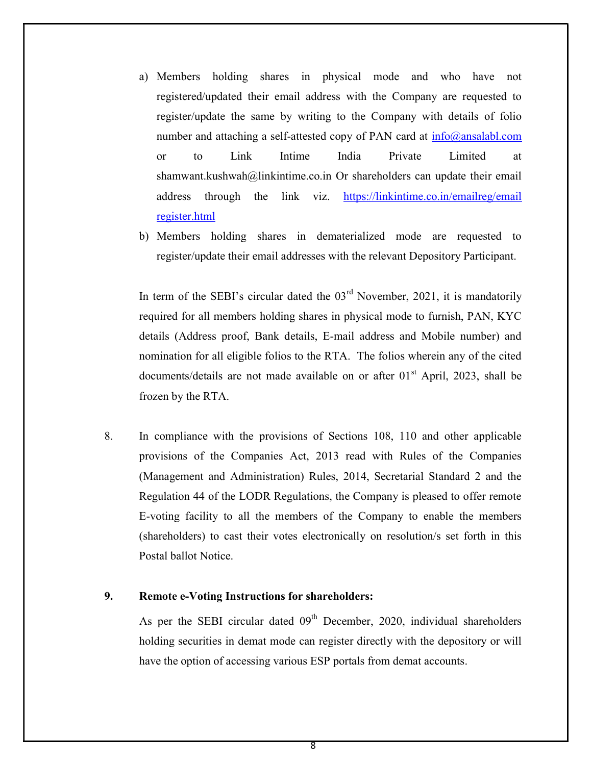- a) Members holding shares in physical mode and who have not registered/updated their email address with the Company are requested to register/update the same by writing to the Company with details of folio number and attaching a self-attested copy of PAN card at  $info@ansalabl.com$ or to Link Intime India Private Limited at shamwant.kushwah@linkintime.co.in Or shareholders can update their email address through the link viz. https://linkintime.co.in/emailreg/email register.html
- b) Members holding shares in dematerialized mode are requested to register/update their email addresses with the relevant Depository Participant.

In term of the SEBI's circular dated the  $03<sup>rd</sup>$  November, 2021, it is mandatorily required for all members holding shares in physical mode to furnish, PAN, KYC details (Address proof, Bank details, E-mail address and Mobile number) and nomination for all eligible folios to the RTA. The folios wherein any of the cited documents/details are not made available on or after  $01<sup>st</sup>$  April, 2023, shall be frozen by the RTA.

8. In compliance with the provisions of Sections 108, 110 and other applicable provisions of the Companies Act, 2013 read with Rules of the Companies (Management and Administration) Rules, 2014, Secretarial Standard 2 and the Regulation 44 of the LODR Regulations, the Company is pleased to offer remote E-voting facility to all the members of the Company to enable the members (shareholders) to cast their votes electronically on resolution/s set forth in this Postal ballot Notice.

### 9. Remote e-Voting Instructions for shareholders:

As per the SEBI circular dated  $09<sup>th</sup>$  December, 2020, individual shareholders holding securities in demat mode can register directly with the depository or will have the option of accessing various ESP portals from demat accounts.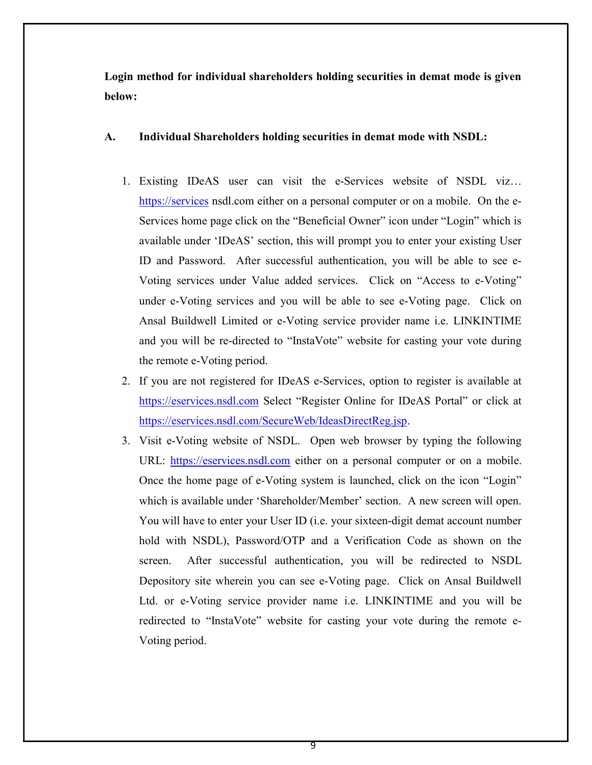Login method for individual shareholders holding securities in demat mode is given below:

### A. Individual Shareholders holding securities in demat mode with NSDL:

- 1. Existing IDeAS user can visit the e-Services website of NSDL viz… https://services nsdl.com either on a personal computer or on a mobile. On the e-Services home page click on the "Beneficial Owner" icon under "Login" which is available under 'IDeAS' section, this will prompt you to enter your existing User ID and Password. After successful authentication, you will be able to see e-Voting services under Value added services. Click on "Access to e-Voting" under e-Voting services and you will be able to see e-Voting page. Click on Ansal Buildwell Limited or e-Voting service provider name i.e. LINKINTIME and you will be re-directed to "InstaVote" website for casting your vote during the remote e-Voting period.
- 2. If you are not registered for IDeAS e-Services, option to register is available at https://eservices.nsdl.com Select "Register Online for IDeAS Portal" or click at https://eservices.nsdl.com/SecureWeb/IdeasDirectReg.jsp.
- 3. Visit e-Voting website of NSDL. Open web browser by typing the following URL: https://eservices.nsdl.com either on a personal computer or on a mobile. Once the home page of e-Voting system is launched, click on the icon "Login" which is available under 'Shareholder/Member' section. A new screen will open. You will have to enter your User ID (i.e. your sixteen-digit demat account number hold with NSDL), Password/OTP and a Verification Code as shown on the screen. After successful authentication, you will be redirected to NSDL Depository site wherein you can see e-Voting page. Click on Ansal Buildwell Ltd. or e-Voting service provider name i.e. LINKINTIME and you will be redirected to "InstaVote" website for casting your vote during the remote e-Voting period.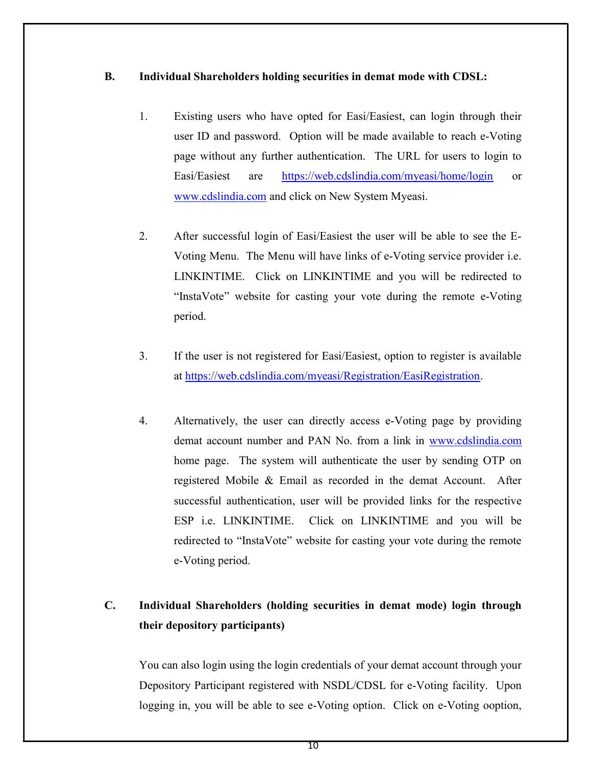## B. Individual Shareholders holding securities in demat mode with CDSL:

- 1. Existing users who have opted for Easi/Easiest, can login through their user ID and password. Option will be made available to reach e-Voting page without any further authentication. The URL for users to login to Easi/Easiest are https://web.cdslindia.com/myeasi/home/login or www.cdslindia.com and click on New System Myeasi.
- 2. After successful login of Easi/Easiest the user will be able to see the E-Voting Menu. The Menu will have links of e-Voting service provider i.e. LINKINTIME. Click on LINKINTIME and you will be redirected to "InstaVote" website for casting your vote during the remote e-Voting period.
- 3. If the user is not registered for Easi/Easiest, option to register is available at https://web.cdslindia.com/myeasi/Registration/EasiRegistration.
- 4. Alternatively, the user can directly access e-Voting page by providing demat account number and PAN No. from a link in www.cdslindia.com home page. The system will authenticate the user by sending OTP on registered Mobile & Email as recorded in the demat Account. After successful authentication, user will be provided links for the respective ESP i.e. LINKINTIME. Click on LINKINTIME and you will be redirected to "InstaVote" website for casting your vote during the remote e-Voting period.

# C. Individual Shareholders (holding securities in demat mode) login through their depository participants)

You can also login using the login credentials of your demat account through your Depository Participant registered with NSDL/CDSL for e-Voting facility. Upon logging in, you will be able to see e-Voting option. Click on e-Voting ooption,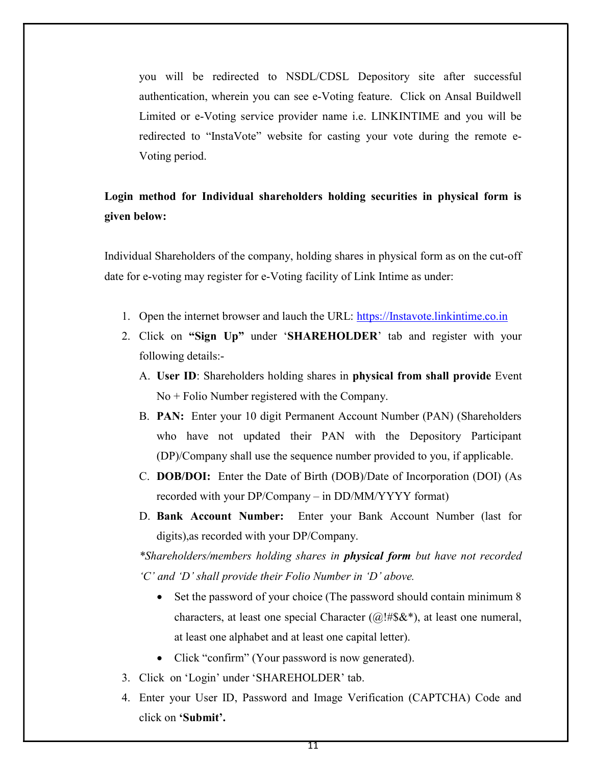you will be redirected to NSDL/CDSL Depository site after successful authentication, wherein you can see e-Voting feature. Click on Ansal Buildwell Limited or e-Voting service provider name i.e. LINKINTIME and you will be redirected to "InstaVote" website for casting your vote during the remote e-Voting period.

## Login method for Individual shareholders holding securities in physical form is given below:

Individual Shareholders of the company, holding shares in physical form as on the cut-off date for e-voting may register for e-Voting facility of Link Intime as under:

- 1. Open the internet browser and lauch the URL: https://Instavote.linkintime.co.in
- 2. Click on "Sign Up" under 'SHAREHOLDER' tab and register with your following details:-
	- A. User ID: Shareholders holding shares in physical from shall provide Event No + Folio Number registered with the Company.
	- B. PAN: Enter your 10 digit Permanent Account Number (PAN) (Shareholders who have not updated their PAN with the Depository Participant (DP)/Company shall use the sequence number provided to you, if applicable.
	- C. DOB/DOI: Enter the Date of Birth (DOB)/Date of Incorporation (DOI) (As recorded with your DP/Company – in DD/MM/YYYY format)
	- D. Bank Account Number: Enter your Bank Account Number (last for digits),as recorded with your DP/Company.

\*Shareholders/members holding shares in **physical form** but have not recorded 'C' and 'D' shall provide their Folio Number in 'D' above.

- Set the password of your choice (The password should contain minimum 8 characters, at least one special Character  $(Q)$ !#\$&\*), at least one numeral, at least one alphabet and at least one capital letter).
- Click "confirm" (Your password is now generated).
- 3. Click on 'Login' under 'SHAREHOLDER' tab.
- 4. Enter your User ID, Password and Image Verification (CAPTCHA) Code and click on 'Submit'.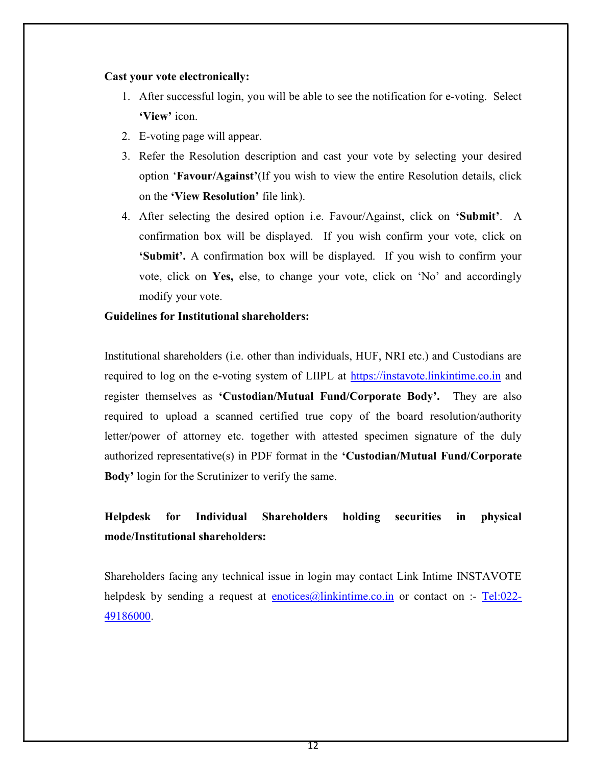### Cast your vote electronically:

- 1. After successful login, you will be able to see the notification for e-voting. Select 'View' icon.
- 2. E-voting page will appear.
- 3. Refer the Resolution description and cast your vote by selecting your desired option 'Favour/Against'(If you wish to view the entire Resolution details, click on the 'View Resolution' file link).
- 4. After selecting the desired option i.e. Favour/Against, click on 'Submit'. A confirmation box will be displayed. If you wish confirm your vote, click on 'Submit'. A confirmation box will be displayed. If you wish to confirm your vote, click on Yes, else, to change your vote, click on 'No' and accordingly modify your vote.

## Guidelines for Institutional shareholders:

Institutional shareholders (i.e. other than individuals, HUF, NRI etc.) and Custodians are required to log on the e-voting system of LIIPL at https://instavote.linkintime.co.in and register themselves as 'Custodian/Mutual Fund/Corporate Body'. They are also required to upload a scanned certified true copy of the board resolution/authority letter/power of attorney etc. together with attested specimen signature of the duly authorized representative(s) in PDF format in the 'Custodian/Mutual Fund/Corporate Body' login for the Scrutinizer to verify the same.

# Helpdesk for Individual Shareholders holding securities in physical mode/Institutional shareholders:

Shareholders facing any technical issue in login may contact Link Intime INSTAVOTE helpdesk by sending a request at enotices@linkintime.co.in or contact on :- Tel:022-49186000.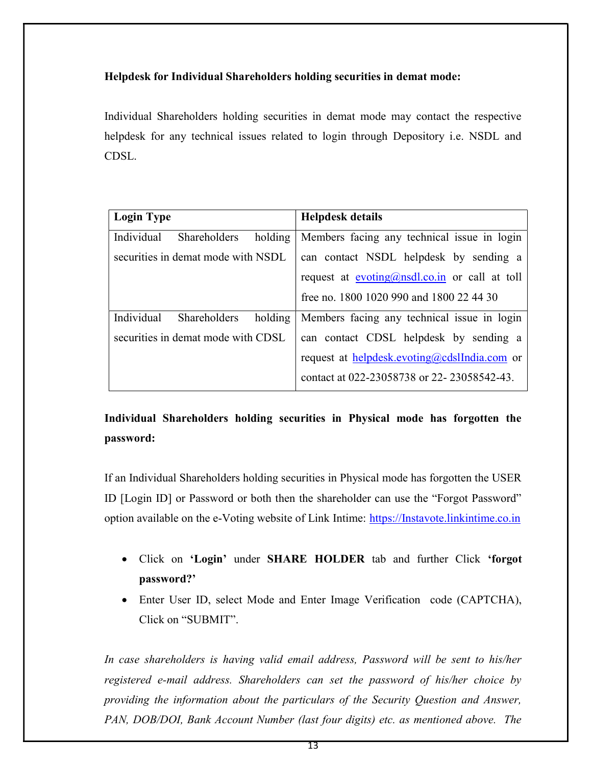## Helpdesk for Individual Shareholders holding securities in demat mode:

Individual Shareholders holding securities in demat mode may contact the respective helpdesk for any technical issues related to login through Depository i.e. NSDL and CDSL.

| <b>Login Type</b>                            | <b>Helpdesk details</b>                           |
|----------------------------------------------|---------------------------------------------------|
| Individual<br>holding<br>Shareholders        | Members facing any technical issue in login       |
| securities in demat mode with NSDL           | can contact NSDL helpdesk by sending a            |
|                                              | request at $evoting(Qnsdl.co.in)$ or call at toll |
|                                              | free no. 1800 1020 990 and 1800 22 44 30          |
| Individual<br>holding<br><b>Shareholders</b> | Members facing any technical issue in login       |
| securities in demat mode with CDSL           | can contact CDSL helpdesk by sending a            |
|                                              | request at helpdesk.evoting@cdslIndia.com or      |
|                                              | contact at 022-23058738 or 22-23058542-43.        |

# Individual Shareholders holding securities in Physical mode has forgotten the password:

If an Individual Shareholders holding securities in Physical mode has forgotten the USER ID [Login ID] or Password or both then the shareholder can use the "Forgot Password" option available on the e-Voting website of Link Intime: https://Instavote.linkintime.co.in

- Click on 'Login' under SHARE HOLDER tab and further Click 'forgot password?'
- Enter User ID, select Mode and Enter Image Verification code (CAPTCHA), Click on "SUBMIT".

In case shareholders is having valid email address, Password will be sent to his/her registered e-mail address. Shareholders can set the password of his/her choice by providing the information about the particulars of the Security Question and Answer, PAN, DOB/DOI, Bank Account Number (last four digits) etc. as mentioned above. The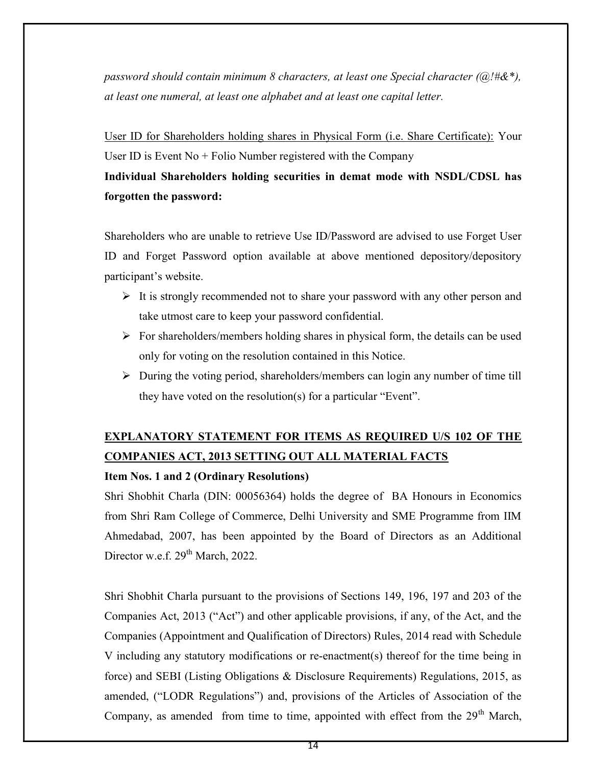password should contain minimum 8 characters, at least one Special character ( $\alpha$ !#&\*), at least one numeral, at least one alphabet and at least one capital letter.

User ID for Shareholders holding shares in Physical Form (i.e. Share Certificate): Your User ID is Event  $No + Folio$  Number registered with the Company

## Individual Shareholders holding securities in demat mode with NSDL/CDSL has forgotten the password:

Shareholders who are unable to retrieve Use ID/Password are advised to use Forget User ID and Forget Password option available at above mentioned depository/depository participant's website.

- $\triangleright$  It is strongly recommended not to share your password with any other person and take utmost care to keep your password confidential.
- $\triangleright$  For shareholders/members holding shares in physical form, the details can be used only for voting on the resolution contained in this Notice.
- $\triangleright$  During the voting period, shareholders/members can login any number of time till they have voted on the resolution(s) for a particular "Event".

# EXPLANATORY STATEMENT FOR ITEMS AS REQUIRED U/S 102 OF THE COMPANIES ACT, 2013 SETTING OUT ALL MATERIAL FACTS

### Item Nos. 1 and 2 (Ordinary Resolutions)

Shri Shobhit Charla (DIN: 00056364) holds the degree of BA Honours in Economics from Shri Ram College of Commerce, Delhi University and SME Programme from IIM Ahmedabad, 2007, has been appointed by the Board of Directors as an Additional Director w.e.f. 29<sup>th</sup> March, 2022.

Shri Shobhit Charla pursuant to the provisions of Sections 149, 196, 197 and 203 of the Companies Act, 2013 ("Act") and other applicable provisions, if any, of the Act, and the Companies (Appointment and Qualification of Directors) Rules, 2014 read with Schedule V including any statutory modifications or re-enactment(s) thereof for the time being in force) and SEBI (Listing Obligations & Disclosure Requirements) Regulations, 2015, as amended, ("LODR Regulations") and, provisions of the Articles of Association of the Company, as amended from time to time, appointed with effect from the 29<sup>th</sup> March,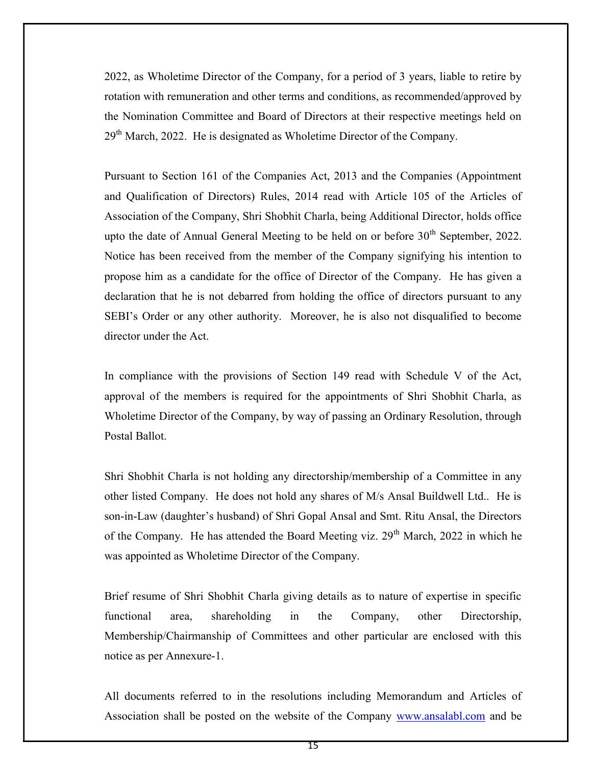2022, as Wholetime Director of the Company, for a period of 3 years, liable to retire by rotation with remuneration and other terms and conditions, as recommended/approved by the Nomination Committee and Board of Directors at their respective meetings held on  $29<sup>th</sup>$  March, 2022. He is designated as Wholetime Director of the Company.

Pursuant to Section 161 of the Companies Act, 2013 and the Companies (Appointment and Qualification of Directors) Rules, 2014 read with Article 105 of the Articles of Association of the Company, Shri Shobhit Charla, being Additional Director, holds office upto the date of Annual General Meeting to be held on or before  $30<sup>th</sup>$  September, 2022. Notice has been received from the member of the Company signifying his intention to propose him as a candidate for the office of Director of the Company. He has given a declaration that he is not debarred from holding the office of directors pursuant to any SEBI's Order or any other authority. Moreover, he is also not disqualified to become director under the Act.

In compliance with the provisions of Section 149 read with Schedule V of the Act, approval of the members is required for the appointments of Shri Shobhit Charla, as Wholetime Director of the Company, by way of passing an Ordinary Resolution, through Postal Ballot.

Shri Shobhit Charla is not holding any directorship/membership of a Committee in any other listed Company. He does not hold any shares of M/s Ansal Buildwell Ltd.. He is son-in-Law (daughter's husband) of Shri Gopal Ansal and Smt. Ritu Ansal, the Directors of the Company. He has attended the Board Meeting viz.  $29<sup>th</sup>$  March, 2022 in which he was appointed as Wholetime Director of the Company.

Brief resume of Shri Shobhit Charla giving details as to nature of expertise in specific functional area, shareholding in the Company, other Directorship, Membership/Chairmanship of Committees and other particular are enclosed with this notice as per Annexure-1.

All documents referred to in the resolutions including Memorandum and Articles of Association shall be posted on the website of the Company www.ansalabl.com and be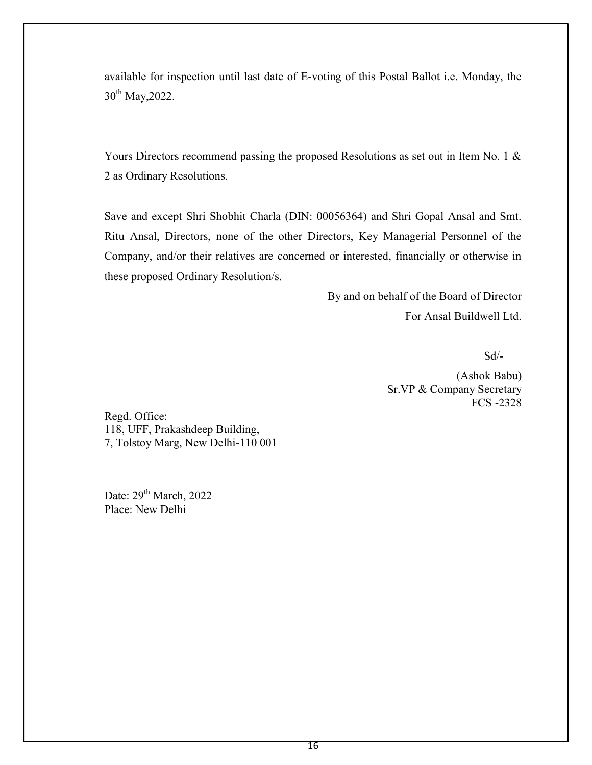available for inspection until last date of E-voting of this Postal Ballot i.e. Monday, the 30<sup>th</sup> May, 2022.

Yours Directors recommend passing the proposed Resolutions as set out in Item No. 1 & 2 as Ordinary Resolutions.

Save and except Shri Shobhit Charla (DIN: 00056364) and Shri Gopal Ansal and Smt. Ritu Ansal, Directors, none of the other Directors, Key Managerial Personnel of the Company, and/or their relatives are concerned or interested, financially or otherwise in these proposed Ordinary Resolution/s.

> By and on behalf of the Board of Director For Ansal Buildwell Ltd.

Sd/-

 (Ashok Babu) Sr.VP & Company Secretary FCS -2328

Regd. Office: 118, UFF, Prakashdeep Building, 7, Tolstoy Marg, New Delhi-110 001

Date:  $29<sup>th</sup> March$ , 2022 Place: New Delhi